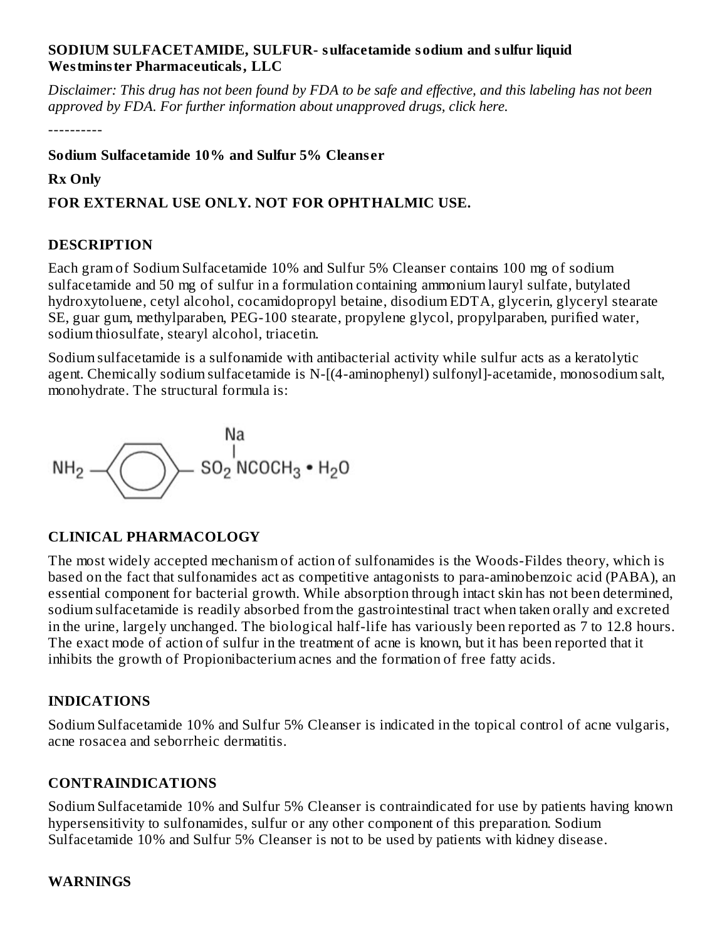#### **SODIUM SULFACETAMIDE, SULFUR- sulfacetamide sodium and sulfur liquid Westminster Pharmaceuticals, LLC**

Disclaimer: This drug has not been found by FDA to be safe and effective, and this labeling has not been *approved by FDA. For further information about unapproved drugs, click here.*

----------

**Sodium Sulfacetamide 10% and Sulfur 5% Cleans er**

### **Rx Only**

## **FOR EXTERNAL USE ONLY. NOT FOR OPHTHALMIC USE.**

### **DESCRIPTION**

Each gram of Sodium Sulfacetamide 10% and Sulfur 5% Cleanser contains 100 mg of sodium sulfacetamide and 50 mg of sulfur in a formulation containing ammonium lauryl sulfate, butylated hydroxytoluene, cetyl alcohol, cocamidopropyl betaine, disodium EDTA, glycerin, glyceryl stearate SE, guar gum, methylparaben, PEG-100 stearate, propylene glycol, propylparaben, purified water, sodium thiosulfate, stearyl alcohol, triacetin.

Sodium sulfacetamide is a sulfonamide with antibacterial activity while sulfur acts as a keratolytic agent. Chemically sodium sulfacetamide is N-[(4-aminophenyl) sulfonyl]-acetamide, monosodium salt, monohydrate. The structural formula is:



### **CLINICAL PHARMACOLOGY**

The most widely accepted mechanism of action of sulfonamides is the Woods-Fildes theory, which is based on the fact that sulfonamides act as competitive antagonists to para-aminobenzoic acid (PABA), an essential component for bacterial growth. While absorption through intact skin has not been determined, sodium sulfacetamide is readily absorbed from the gastrointestinal tract when taken orally and excreted in the urine, largely unchanged. The biological half-life has variously been reported as 7 to 12.8 hours. The exact mode of action of sulfur in the treatment of acne is known, but it has been reported that it inhibits the growth of Propionibacterium acnes and the formation of free fatty acids.

# **INDICATIONS**

Sodium Sulfacetamide 10% and Sulfur 5% Cleanser is indicated in the topical control of acne vulgaris, acne rosacea and seborrheic dermatitis.

# **CONTRAINDICATIONS**

Sodium Sulfacetamide 10% and Sulfur 5% Cleanser is contraindicated for use by patients having known hypersensitivity to sulfonamides, sulfur or any other component of this preparation. Sodium Sulfacetamide 10% and Sulfur 5% Cleanser is not to be used by patients with kidney disease.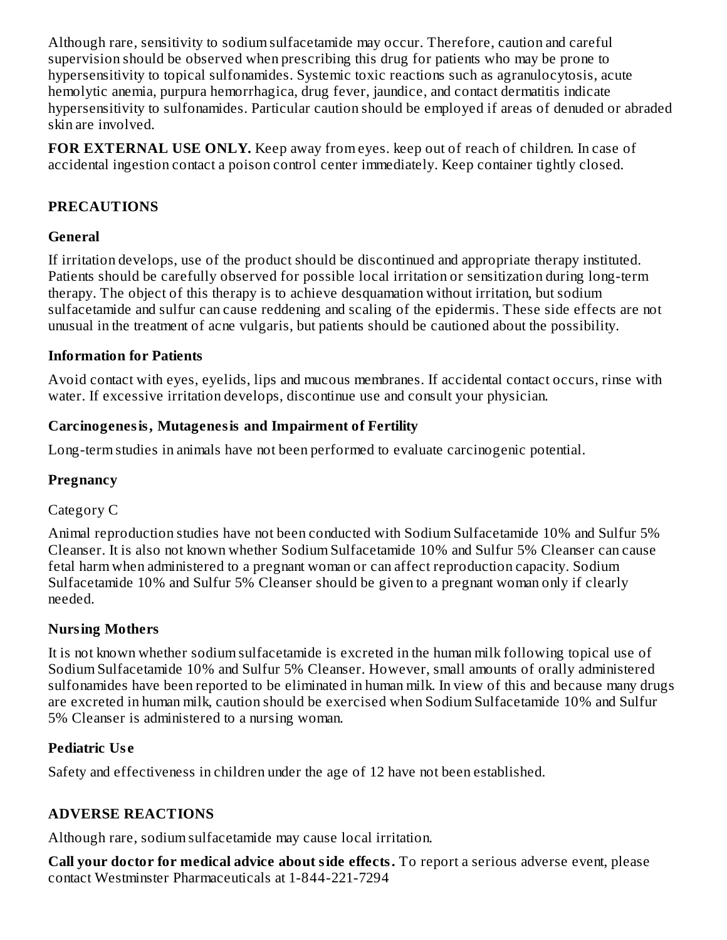Although rare, sensitivity to sodium sulfacetamide may occur. Therefore, caution and careful supervision should be observed when prescribing this drug for patients who may be prone to hypersensitivity to topical sulfonamides. Systemic toxic reactions such as agranulocytosis, acute hemolytic anemia, purpura hemorrhagica, drug fever, jaundice, and contact dermatitis indicate hypersensitivity to sulfonamides. Particular caution should be employed if areas of denuded or abraded skin are involved.

**FOR EXTERNAL USE ONLY.** Keep away from eyes. keep out of reach of children. In case of accidental ingestion contact a poison control center immediately. Keep container tightly closed.

## **PRECAUTIONS**

### **General**

If irritation develops, use of the product should be discontinued and appropriate therapy instituted. Patients should be carefully observed for possible local irritation or sensitization during long-term therapy. The object of this therapy is to achieve desquamation without irritation, but sodium sulfacetamide and sulfur can cause reddening and scaling of the epidermis. These side effects are not unusual in the treatment of acne vulgaris, but patients should be cautioned about the possibility.

### **Information for Patients**

Avoid contact with eyes, eyelids, lips and mucous membranes. If accidental contact occurs, rinse with water. If excessive irritation develops, discontinue use and consult your physician.

### **Carcinogenesis, Mutagenesis and Impairment of Fertility**

Long-term studies in animals have not been performed to evaluate carcinogenic potential.

# **Pregnancy**

### Category C

Animal reproduction studies have not been conducted with Sodium Sulfacetamide 10% and Sulfur 5% Cleanser. It is also not known whether Sodium Sulfacetamide 10% and Sulfur 5% Cleanser can cause fetal harm when administered to a pregnant woman or can affect reproduction capacity. Sodium Sulfacetamide 10% and Sulfur 5% Cleanser should be given to a pregnant woman only if clearly needed.

### **Nursing Mothers**

It is not known whether sodium sulfacetamide is excreted in the human milk following topical use of Sodium Sulfacetamide 10% and Sulfur 5% Cleanser. However, small amounts of orally administered sulfonamides have been reported to be eliminated in human milk. In view of this and because many drugs are excreted in human milk, caution should be exercised when Sodium Sulfacetamide 10% and Sulfur 5% Cleanser is administered to a nursing woman.

### **Pediatric Us e**

Safety and effectiveness in children under the age of 12 have not been established.

# **ADVERSE REACTIONS**

Although rare, sodium sulfacetamide may cause local irritation.

**Call your doctor for medical advice about side effects.** To report a serious adverse event, please contact Westminster Pharmaceuticals at 1-844-221-7294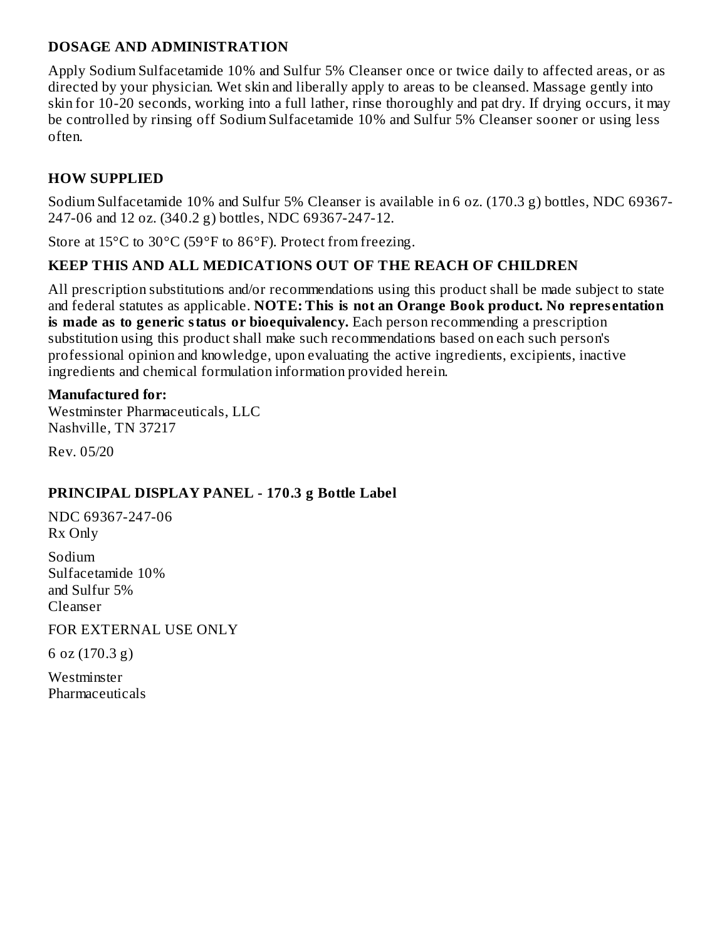#### **DOSAGE AND ADMINISTRATION**

Apply Sodium Sulfacetamide 10% and Sulfur 5% Cleanser once or twice daily to affected areas, or as directed by your physician. Wet skin and liberally apply to areas to be cleansed. Massage gently into skin for 10-20 seconds, working into a full lather, rinse thoroughly and pat dry. If drying occurs, it may be controlled by rinsing off Sodium Sulfacetamide 10% and Sulfur 5% Cleanser sooner or using less often.

## **HOW SUPPLIED**

Sodium Sulfacetamide 10% and Sulfur 5% Cleanser is available in 6 oz. (170.3 g) bottles, NDC 69367- 247-06 and 12 oz. (340.2 g) bottles, NDC 69367-247-12.

Store at 15°C to 30°C (59°F to 86°F). Protect from freezing.

### **KEEP THIS AND ALL MEDICATIONS OUT OF THE REACH OF CHILDREN**

All prescription substitutions and/or recommendations using this product shall be made subject to state and federal statutes as applicable. **NOTE: This is not an Orange Book product. No repres entation is made as to generic status or bioequivalency.** Each person recommending a prescription substitution using this product shall make such recommendations based on each such person's professional opinion and knowledge, upon evaluating the active ingredients, excipients, inactive ingredients and chemical formulation information provided herein.

#### **Manufactured for:**

Westminster Pharmaceuticals, LLC Nashville, TN 37217

Rev. 05/20

### **PRINCIPAL DISPLAY PANEL - 170.3 g Bottle Label**

NDC 69367-247-06 Rx Only

Sodium Sulfacetamide 10% and Sulfur 5% Cleanser

FOR EXTERNAL USE ONLY

6 oz (170.3 g)

Westminster **Pharmaceuticals**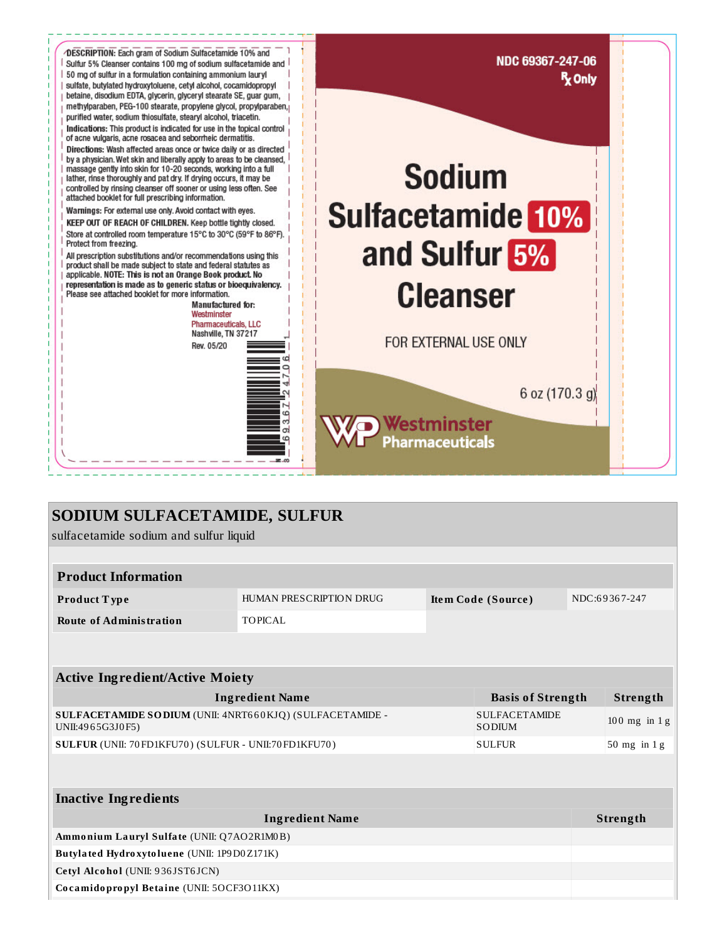

# SODIUM SULFACETAMIDE, SULFUR

sulfacetamide sodium and sulfur liquid

| <b>Product Information</b>                                                   |                         |                    |                                |               |                  |  |  |  |  |  |
|------------------------------------------------------------------------------|-------------------------|--------------------|--------------------------------|---------------|------------------|--|--|--|--|--|
| Product Type                                                                 | HUMAN PRESCRIPTION DRUG | Item Code (Source) |                                | NDC:69367-247 |                  |  |  |  |  |  |
| <b>Route of Administration</b>                                               | TOPICAL                 |                    |                                |               |                  |  |  |  |  |  |
|                                                                              |                         |                    |                                |               |                  |  |  |  |  |  |
| <b>Active Ingredient/Active Moiety</b>                                       |                         |                    |                                |               |                  |  |  |  |  |  |
| <b>Ingredient Name</b>                                                       |                         |                    | <b>Basis of Strength</b>       |               | Strength         |  |  |  |  |  |
| SULFACETAMIDE SODIUM (UNII: 4NRT660KJQ) (SULFACETAMIDE -<br>UNII:4965G3J0F5) |                         |                    | <b>SULFACETAMIDE</b><br>SODIUM |               | $100$ mg in $1g$ |  |  |  |  |  |
| SULFUR (UNII: 70 FD1KFU70) (SULFUR - UNII:70 FD1KFU70)<br><b>SULFUR</b>      |                         |                    |                                |               | $50$ mg in 1 g   |  |  |  |  |  |
|                                                                              |                         |                    |                                |               |                  |  |  |  |  |  |
| <b>Inactive Ingredients</b>                                                  |                         |                    |                                |               |                  |  |  |  |  |  |
| <b>Ingredient Name</b>                                                       |                         |                    |                                |               | <b>Strength</b>  |  |  |  |  |  |
| Ammonium Lauryl Sulfate (UNII: Q7AO2R1M0B)                                   |                         |                    |                                |               |                  |  |  |  |  |  |
| Butylated Hydroxytoluene (UNII: 1P9D0Z171K)                                  |                         |                    |                                |               |                  |  |  |  |  |  |
| Cetyl Alcohol (UNII: 936JST6JCN)                                             |                         |                    |                                |               |                  |  |  |  |  |  |
| Cocamidopropyl Betaine (UNII: 5OCF3O11KX)                                    |                         |                    |                                |               |                  |  |  |  |  |  |